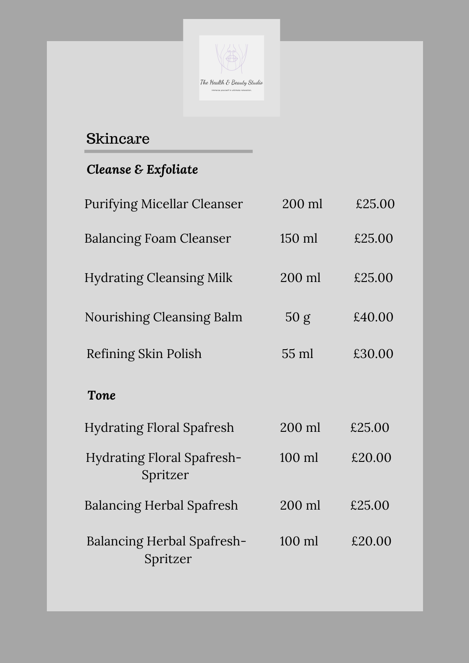

*Cleanse & Exfoliate*

| <b>Purifying Micellar Cleanser</b>            | 200 ml          | £25.00 |
|-----------------------------------------------|-----------------|--------|
| <b>Balancing Foam Cleanser</b>                | $150$ ml        | £25.00 |
| <b>Hydrating Cleansing Milk</b>               | 200 ml          | £25.00 |
| <b>Nourishing Cleansing Balm</b>              | 50 g            | £40.00 |
| Refining Skin Polish                          | $55 \text{ ml}$ | £30.00 |
| <b>Tone</b>                                   |                 |        |
| <b>Hydrating Floral Spafresh</b>              | 200 ml          | £25.00 |
| Hydrating Floral Spafresh-<br>Spritzer        | $100$ ml        | £20.00 |
| <b>Balancing Herbal Spafresh</b>              | 200 ml          | £25.00 |
| <b>Balancing Herbal Spafresh-</b><br>Spritzer | $100$ m         | £20.00 |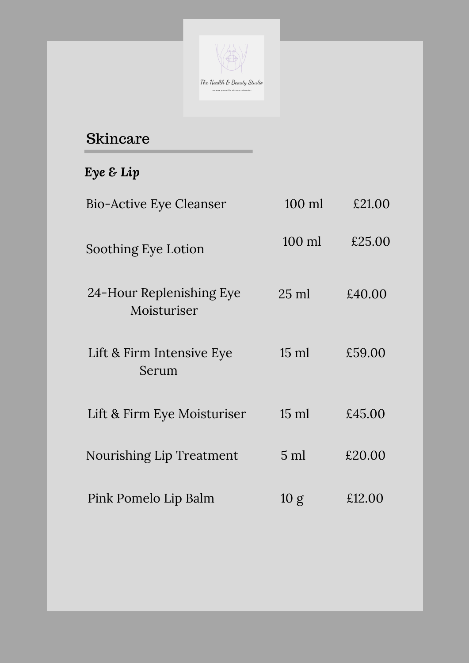

| LIIL & FIIIII IIILCIISIVE LYE<br>Serum | <b>10 IIII</b> | たりご しし |
|----------------------------------------|----------------|--------|
| Lift & Firm Eye Moisturiser            | $15$ ml        | £45.00 |
| Nourishing Lip Treatment               | $5 \text{ ml}$ | £20.00 |
| Pink Pomelo Lip Balm                   | 10 g           | £12.00 |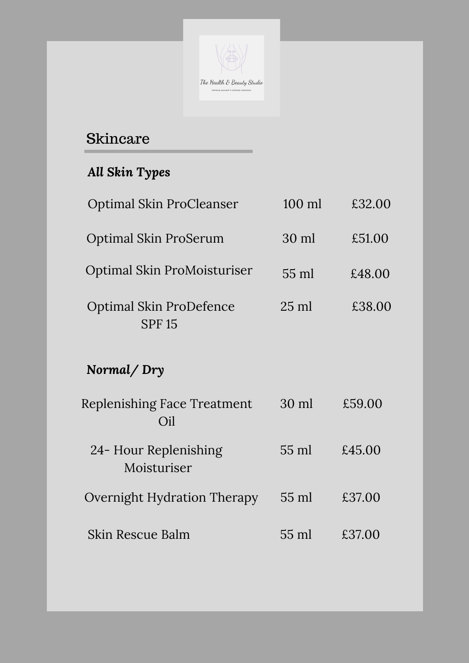

*All Skin Types*

| <b>Optimal Skin ProCleanser</b>                 | $100$ ml        | £32.00 |
|-------------------------------------------------|-----------------|--------|
| <b>Optimal Skin ProSerum</b>                    | $30 \text{ ml}$ | £51.00 |
| Optimal Skin ProMoisturiser                     | $55 \text{ ml}$ | £48.00 |
| <b>Optimal Skin ProDefence</b><br><b>SPF 15</b> | $25 \text{ ml}$ | £38.00 |

#### *Normal/ Dry*

Replenishing Face Treatment Oil 30 ml £59.00

Overnight Hydration Therapy 55 ml £37.00

Skin Rescue Balm 55 ml £37.00

55 ml £45.00 24- Hour Replenishing Moisturiser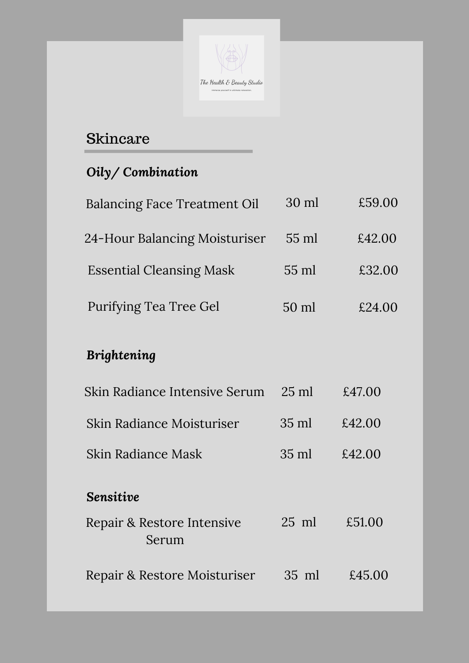

*Oily/ Combination*

| <b>Balancing Face Treatment Oil</b> | 30 ml | £59.00 |
|-------------------------------------|-------|--------|
| 24-Hour Balancing Moisturiser       | 55 ml | £42.00 |
| <b>Essential Cleansing Mask</b>     | 55 ml | £32.00 |
| Purifying Tea Tree Gel              | 50 ml | £24.00 |

### *Brightening*

| Skin Radiance Intensive Serum       | $25 \text{ ml}$ | £47.00 |
|-------------------------------------|-----------------|--------|
| Skin Radiance Moisturiser           | $35 \text{ ml}$ | £42.00 |
| Skin Radiance Mask                  | $35 \text{ ml}$ | £42.00 |
| <b>Sensitive</b>                    |                 |        |
| Repair & Restore Intensive<br>Serum | $25 \text{ ml}$ | £51.00 |
| Repair & Restore Moisturiser        | $35 \text{ ml}$ | £45.00 |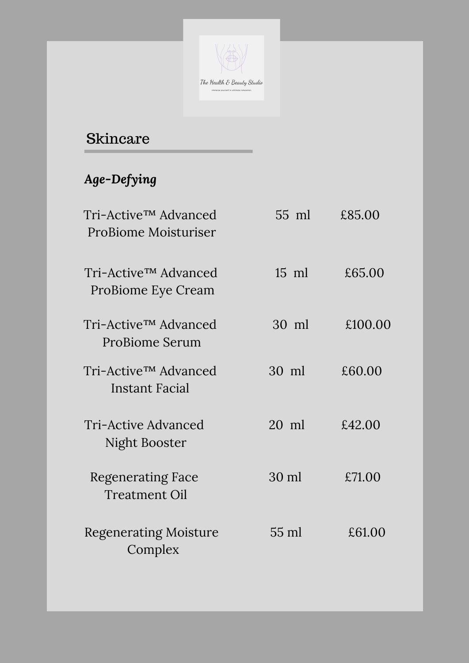

## *Age-Defying*

| Tri-Active™ Advanced<br>ProBiome Moisturiser            | $55 \text{ ml}$ | £85.00  |
|---------------------------------------------------------|-----------------|---------|
| Tri-Active <sup>TM</sup> Advanced<br>ProBiome Eye Cream | $15 \text{ ml}$ | £65.00  |
| Tri-Active™ Advanced<br><b>ProBiome Serum</b>           | $30 \text{ ml}$ | £100.00 |

| Tri-Active™ Advanced<br>Instant Facial           | $30 \text{ m}$ | £60.00 |
|--------------------------------------------------|----------------|--------|
| Tri-Active Advanced<br>Night Booster             | 20 ml          | £42.00 |
| <b>Regenerating Face</b><br><b>Treatment Oil</b> | 30 ml          | £71.00 |
| <b>Regenerating Moisture</b><br>Complex          | 55 ml          | £61.00 |
|                                                  |                |        |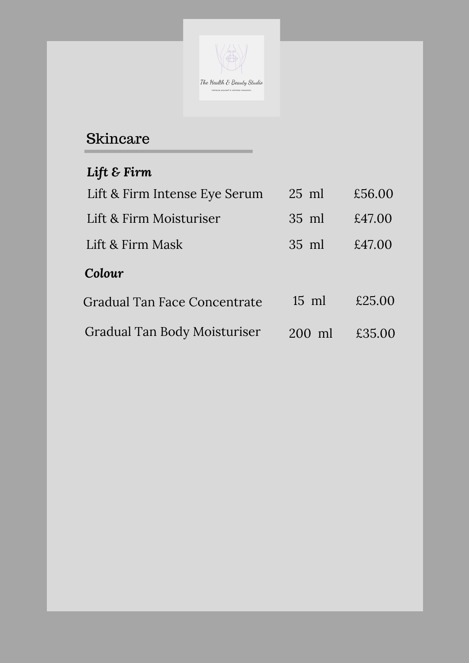

# *Lift & Firm*

| Lift & Firm Intense Eye Serum | $25$ ml | £56.00 |
|-------------------------------|---------|--------|
| Lift & Firm Moisturiser       | 35 ml   | £47.00 |
| Lift & Firm Mask              | $35$ ml | £47.00 |
| Colour                        |         |        |
| Gradual Tan Face Concentrate  | $15$ ml | £25.00 |
| Gradual Tan Body Moisturiser  | 200 ml  | £35.00 |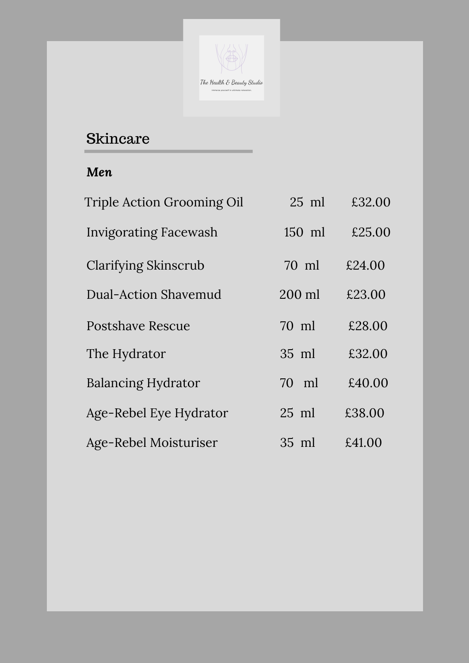

| <b>Triple Action Grooming Oil</b> | $25$ ml  | £32.00 |
|-----------------------------------|----------|--------|
| Invigorating Facewash             | $150$ ml | £25.00 |
| <b>Clarifying Skinscrub</b>       | 70 ml    | £24.00 |
| <b>Dual-Action Shavemud</b>       | 200 ml   | £23.00 |
| <b>Postshave Rescue</b>           | 70 ml    | £28.00 |
| The Hydrator                      | 35 ml    | £32.00 |
| <b>Balancing Hydrator</b>         | m<br>70  | £40.00 |
| Age-Rebel Eye Hydrator            | $25$ ml  | £38.00 |
| Age-Rebel Moisturiser             | 35 ml    | £41.00 |

#### *Men*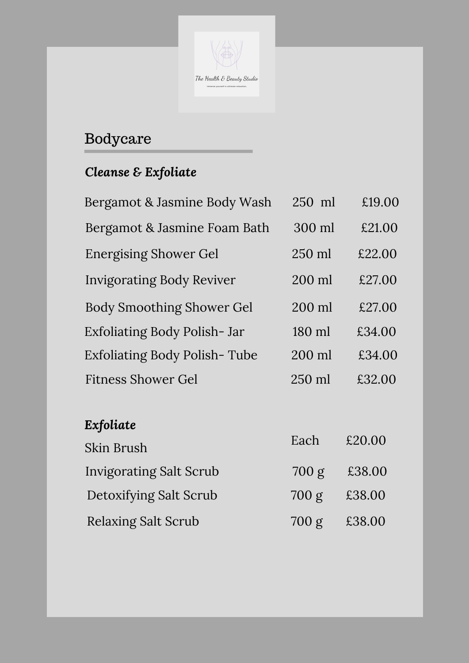

Bodycare

## *Cleanse & Exfoliate*

| Bergamot & Jasmine Body Wash     | 250 ml   | £19.00 |
|----------------------------------|----------|--------|
| Bergamot & Jasmine Foam Bath     | 300 ml   | £21.00 |
| <b>Energising Shower Gel</b>     | 250 ml   | £22.00 |
| <b>Invigorating Body Reviver</b> | 200 ml   | £27.00 |
| <b>Body Smoothing Shower Gel</b> | 200 ml   | £27.00 |
| Exfoliating Body Polish-Jar      | 180 ml   | £34.00 |
| Exfoliating Body Polish-Tube     | 200 ml   | £34.00 |
| <b>Fitness Shower Gel</b>        | $250$ ml | £32.00 |
|                                  |          |        |
| Exfoliate                        |          |        |
| Skin Brush                       | Each     | £20.00 |
| <b>Invigorating Salt Scrub</b>   | 700 g    | £38.00 |
| Detoxifying Salt Scrub           | 700 g    | £38.00 |
| <b>Relaxing Salt Scrub</b>       | 700 g    | £38.00 |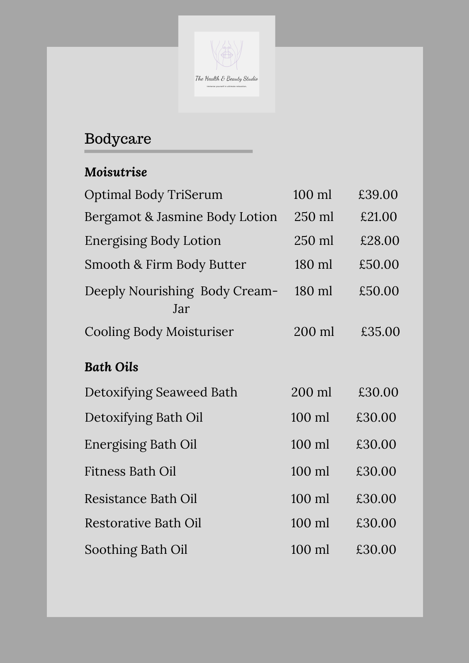

# Bodycare

| <b>Optimal Body TriSerum</b>         | 100 ml | £39.00 |
|--------------------------------------|--------|--------|
| Bergamot & Jasmine Body Lotion       | 250 ml | £21.00 |
| <b>Energising Body Lotion</b>        | 250 ml | £28.00 |
| Smooth & Firm Body Butter            | 180 ml | £50.00 |
| Deeply Nourishing Body Cream-<br>Jar | 180 ml | £50.00 |
| <b>Cooling Body Moisturiser</b>      | 200 ml | £35.00 |

### *Moisutrise*

### *Bath Oils*

| Detoxifying Seaweed Bath    | 200 ml   | £30.00 |
|-----------------------------|----------|--------|
| Detoxifying Bath Oil        | 100 ml   | £30.00 |
| <b>Energising Bath Oil</b>  | $100$ ml | £30.00 |
| <b>Fitness Bath Oil</b>     | 100 ml   | £30.00 |
| Resistance Bath Oil         | $100$ ml | £30.00 |
| <b>Restorative Bath Oil</b> | $100$ ml | £30.00 |
| Soothing Bath Oil           | $100$ m  | £30.00 |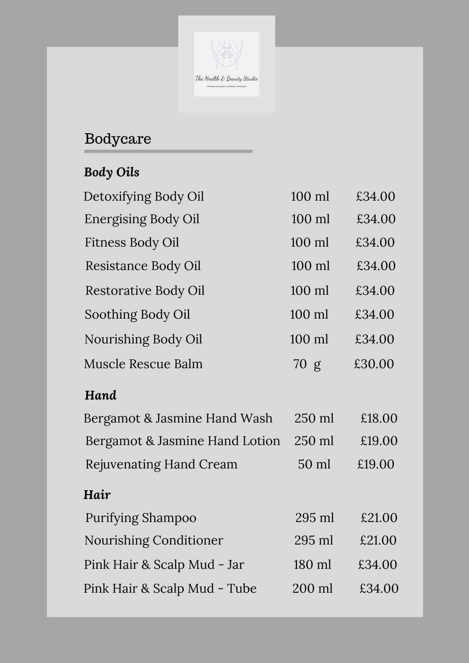

Immerse yourself in ultimate relaxation.

# Bodycare

# *Body Oils*

| Detoxifying Body Oil        | 100 ml | £34.00 |
|-----------------------------|--------|--------|
| <b>Energising Body Oil</b>  | 100 ml | £34.00 |
| Fitness Body Oil            | 100 ml | £34.00 |
| Resistance Body Oil         | 100 ml | £34.00 |
| <b>Restorative Body Oil</b> | 100 ml | £34.00 |
| Soothing Body Oil           | 100 ml | £34.00 |
| Nourishing Body Oil         | 100 ml | £34.00 |

| <b>Muscle Rescue Balm</b>      | 70 g            | £30.00 |
|--------------------------------|-----------------|--------|
| Hand                           |                 |        |
| Bergamot & Jasmine Hand Wash   | 250 ml          | £18.00 |
| Bergamot & Jasmine Hand Lotion | 250 ml          | £19.00 |
| <b>Rejuvenating Hand Cream</b> | $50 \text{ ml}$ | £19.00 |
| Hair                           |                 |        |
| <b>Purifying Shampoo</b>       | $295$ ml        | £21.00 |
| Nourishing Conditioner         | $295$ ml        | £21.00 |
| Pink Hair & Scalp Mud - Jar    | 180 ml          | £34.00 |
| Pink Hair & Scalp Mud - Tube   | 200 ml          | £34.00 |